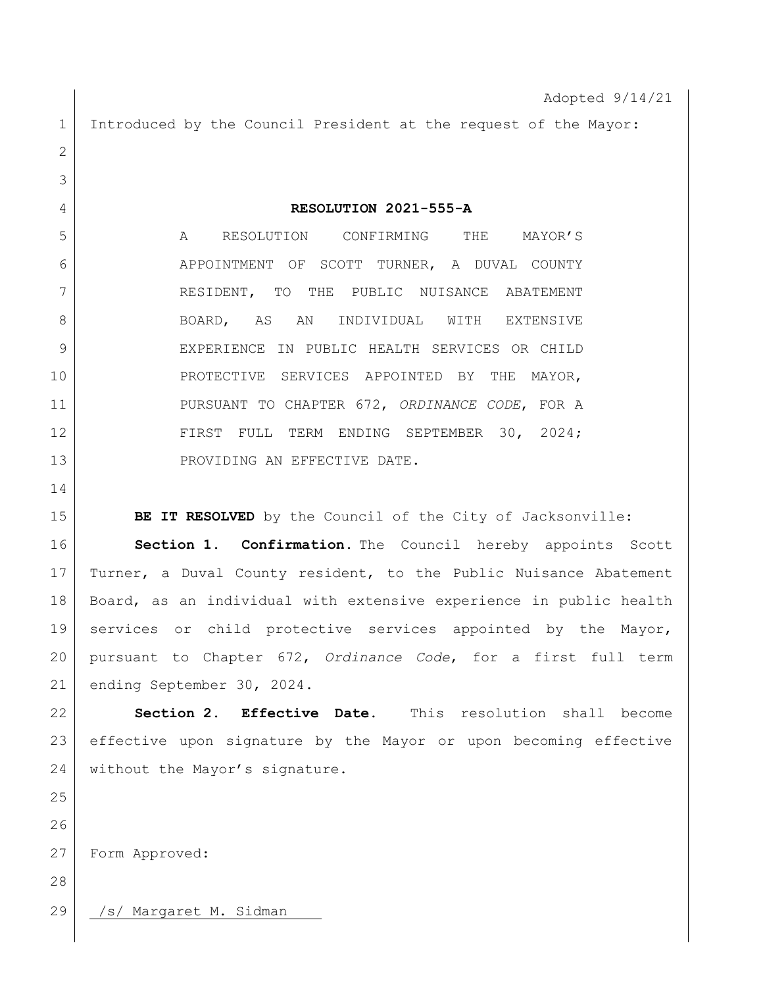Adopted 9/14/21 1 Introduced by the Council President at the request of the Mayor: **RESOLUTION 2021-555-A** A RESOLUTION CONFIRMING THE MAYOR'S APPOINTMENT OF SCOTT TURNER, A DUVAL COUNTY 7 RESIDENT, TO THE PUBLIC NUISANCE ABATEMENT 8 BOARD, AS AN INDIVIDUAL WITH EXTENSIVE EXPERIENCE IN PUBLIC HEALTH SERVICES OR CHILD PROTECTIVE SERVICES APPOINTED BY THE MAYOR, PURSUANT TO CHAPTER 672, *ORDINANCE CODE*, FOR A 12 FIRST FULL TERM ENDING SEPTEMBER 30, 2024; 13 PROVIDING AN EFFECTIVE DATE. **BE IT RESOLVED** by the Council of the City of Jacksonville: **Section 1. Confirmation.** The Council hereby appoints Scott Turner, a Duval County resident, to the Public Nuisance Abatement Board, as an individual with extensive experience in public health services or child protective services appointed by the Mayor, pursuant to Chapter 672, *Ordinance Code*, for a first full term ending September 30, 2024. **Section 2. Effective Date.** This resolution shall become effective upon signature by the Mayor or upon becoming effective 24 without the Mayor's signature. Form Approved: 29 | /s/ Margaret M. Sidman